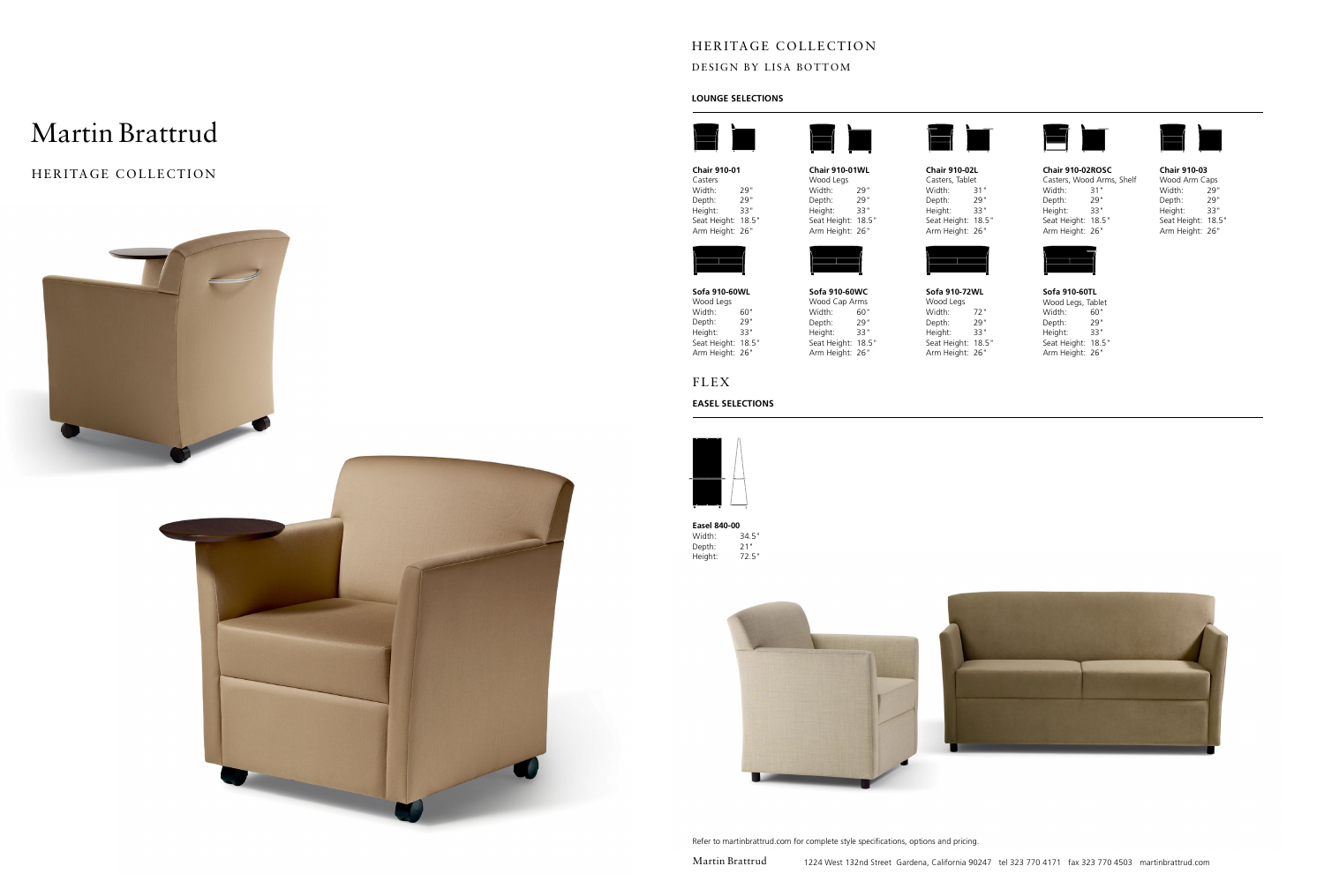# Martin Brattrud

Heritage Collection





## **Lounge Selections**

# Heritage Collection

## DESIGN BY LISA BOTTOM

Martin Brattrud

**Chair 910-01**



Casters Width: 29"<br>Depth: 29" Depth: Height: 33" Seat Height: 18.5" Arm Height: 26"

**Chair 910-01WL** wood Legs<br>Width: 29" Width: 29"<br>Depth: 29" Depth: Height: 33" Seat Height: 18.5" Arm Height: 26"



Width: 31" Depth: 29" Height: 33" Seat Height: 18.5"





**Chair 910-02ROSC** Casters, Wood Arms, Shelf<br>Width: 31" Width: 31"<br>Depth: 29" Depth: Height: 33" Seat Height: 18.5" Arm Height: 26"



**Easel 840-00** 34.5"<br>21" Depth: 21"<br>Height: 72.5" Height:



#### **Sofa 910-60TL** Wood Legs, Tablet Width: 60"<br>Depth: 29" Depth: Height: 33" Seat Height: 18.5" Arm Height: 26"



### **Chair 910-03**

| Wood Arm Caps      |     |
|--------------------|-----|
| Width:             | 79" |
| Depth:             | 79" |
| Height:            | 33" |
| Seat Height: 18.5" |     |
| Arm Height: 26"    |     |

**Sofa 910-60WC** Wood Cap Arms Width: 60"<br>Depth: 29" Depth: Height: 33" Seat Height: 18.5" Arm Height: 26"

**Sofa 910-72WL**

Wood Legs Width: 72" Depth: 29" Height: 33" Seat Height: 18.5" Arm Height: 26"

**Sofa 910-60WL** Wood Legs Width: 60"<br>Depth: 29" Depth: Height: 33" Seat Height: 18.5" Arm Height: 26"

Refer to martinbrattrud.com for complete style specifications, options and pricing.



# Flex

### **easel Selections**